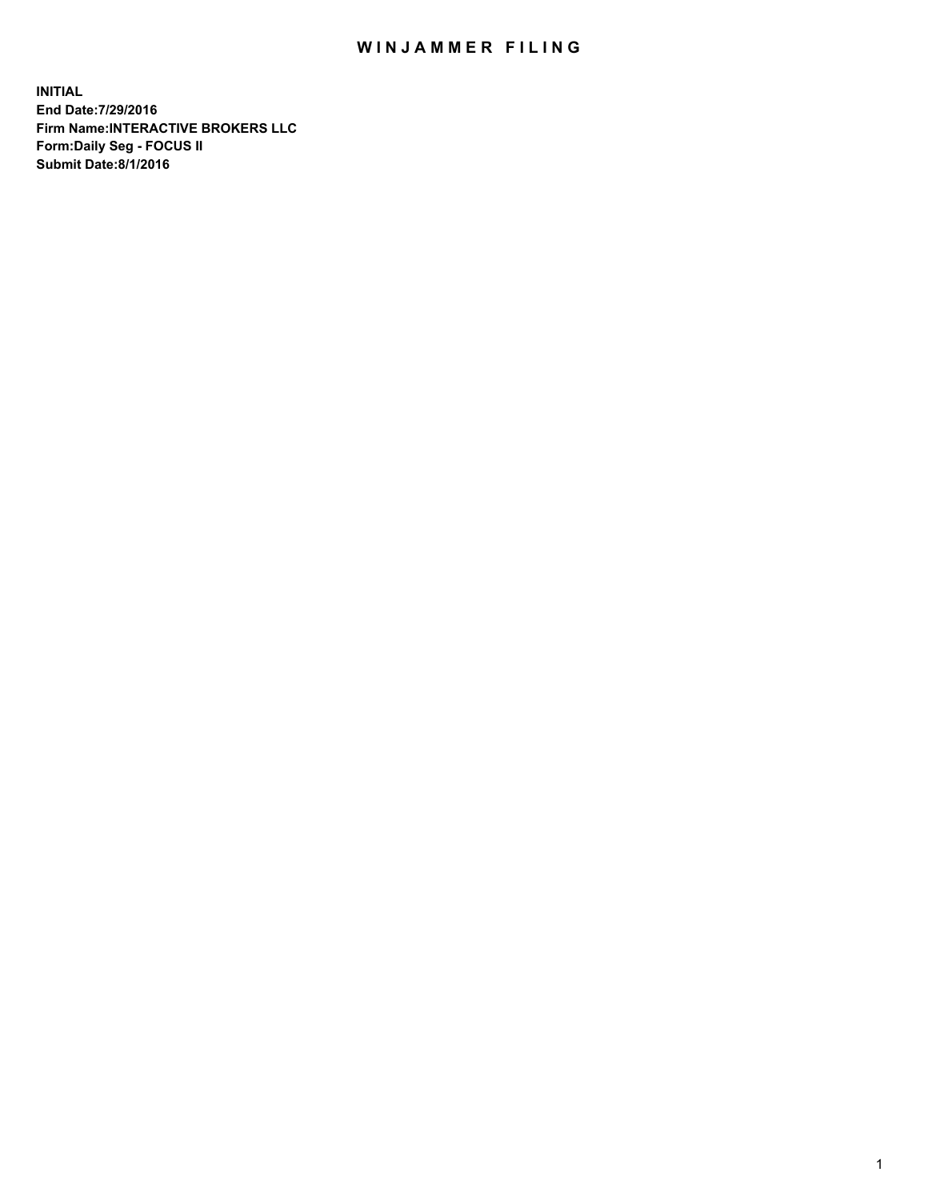## WIN JAMMER FILING

**INITIAL End Date:7/29/2016 Firm Name:INTERACTIVE BROKERS LLC Form:Daily Seg - FOCUS II Submit Date:8/1/2016**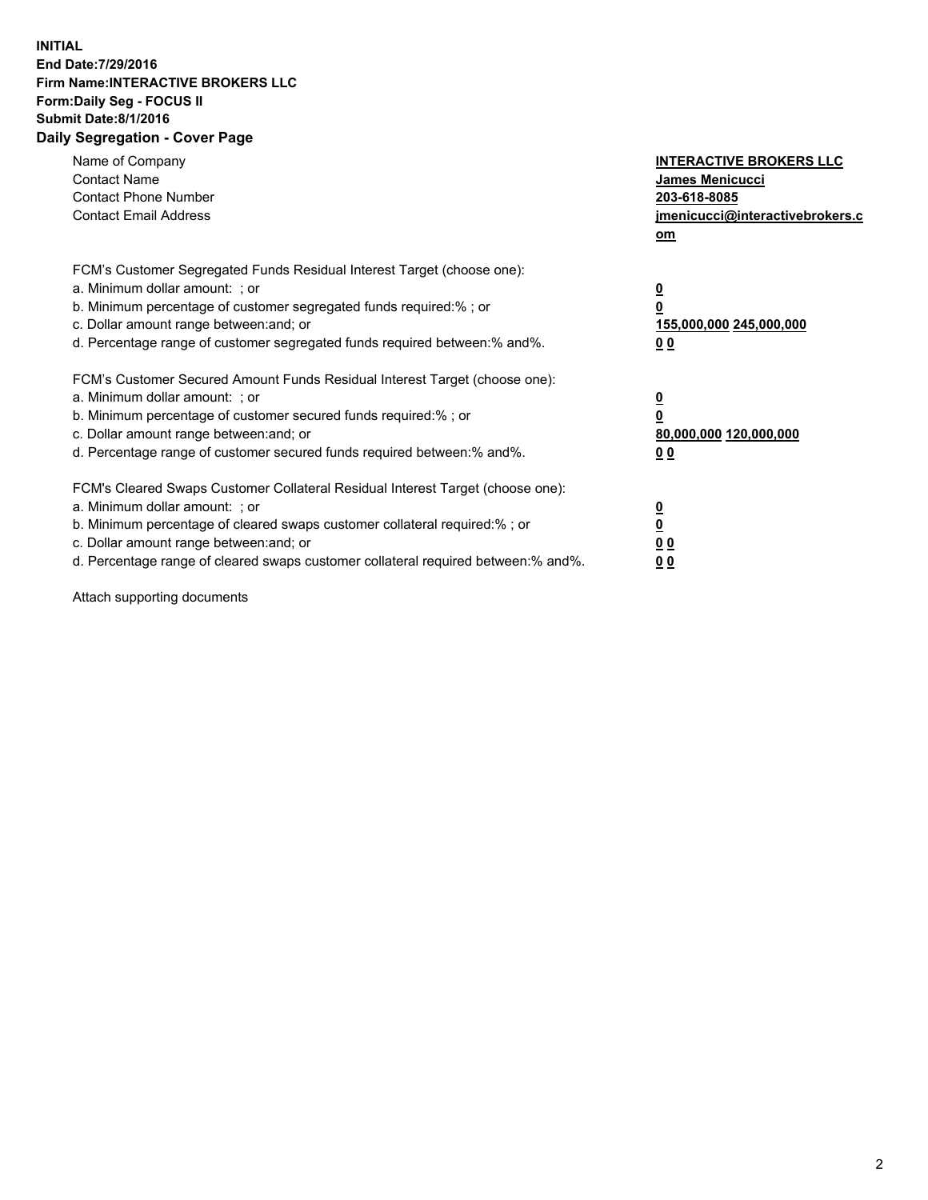## **INITIAL End Date:7/29/2016 Firm Name:INTERACTIVE BROKERS LLC Form:Daily Seg - FOCUS II Submit Date:8/1/2016 Daily Segregation - Cover Page**

| Name of Company<br><b>Contact Name</b><br><b>Contact Phone Number</b><br><b>Contact Email Address</b>                                                                                                                                                                                                                          | <b>INTERACTIVE BROKERS LLC</b><br><b>James Menicucci</b><br>203-618-8085<br><u>jmenicucci@interactivebrokers.c</u><br>om |
|--------------------------------------------------------------------------------------------------------------------------------------------------------------------------------------------------------------------------------------------------------------------------------------------------------------------------------|--------------------------------------------------------------------------------------------------------------------------|
| FCM's Customer Segregated Funds Residual Interest Target (choose one):<br>a. Minimum dollar amount: ; or<br>b. Minimum percentage of customer segregated funds required:%; or<br>c. Dollar amount range between: and; or<br>d. Percentage range of customer segregated funds required between:% and%.                          | <u>0</u><br>0<br><u>155,000,000 245,000,000</u><br>0 <sub>0</sub>                                                        |
| FCM's Customer Secured Amount Funds Residual Interest Target (choose one):<br>a. Minimum dollar amount: ; or<br>b. Minimum percentage of customer secured funds required:%; or<br>c. Dollar amount range between: and; or<br>d. Percentage range of customer secured funds required between:% and%.                            | $\overline{\mathbf{0}}$<br>0<br>80,000,000 120,000,000<br>0 <sub>0</sub>                                                 |
| FCM's Cleared Swaps Customer Collateral Residual Interest Target (choose one):<br>a. Minimum dollar amount: ; or<br>b. Minimum percentage of cleared swaps customer collateral required:% ; or<br>c. Dollar amount range between: and; or<br>d. Percentage range of cleared swaps customer collateral required between:% and%. | $\underline{\mathbf{0}}$<br>$\overline{\mathbf{0}}$<br>0 <sub>0</sub><br><u>00</u>                                       |

Attach supporting documents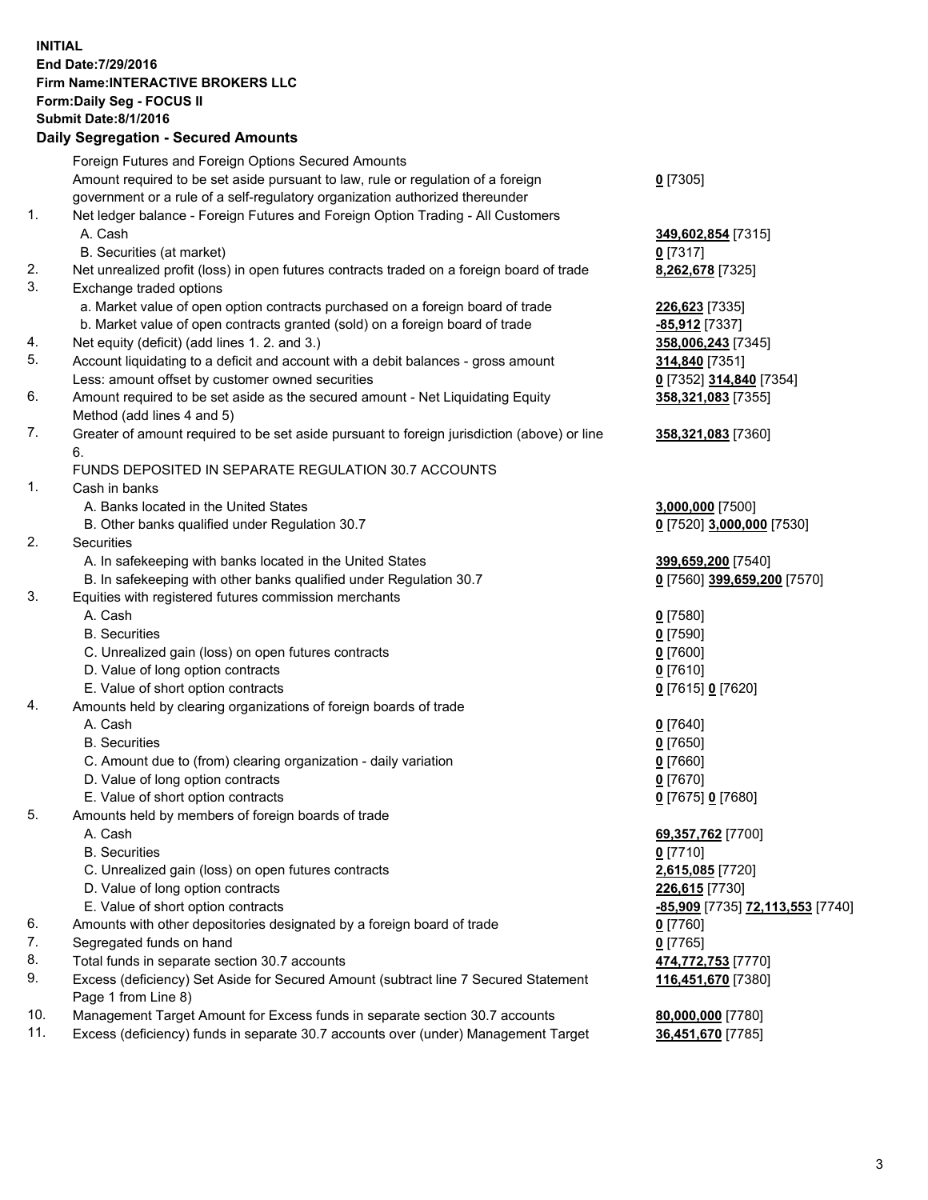## **INITIAL End Date:7/29/2016 Firm Name:INTERACTIVE BROKERS LLC Form:Daily Seg - FOCUS II Submit Date:8/1/2016 Daily Segregation - Secured Amounts**

|     | Dany Ocgregation - Oceanea Annoanta                                                         |                                  |
|-----|---------------------------------------------------------------------------------------------|----------------------------------|
|     | Foreign Futures and Foreign Options Secured Amounts                                         |                                  |
|     | Amount required to be set aside pursuant to law, rule or regulation of a foreign            | $0$ [7305]                       |
|     | government or a rule of a self-regulatory organization authorized thereunder                |                                  |
| 1.  | Net ledger balance - Foreign Futures and Foreign Option Trading - All Customers             |                                  |
|     | A. Cash                                                                                     | 349,602,854 [7315]               |
|     | B. Securities (at market)                                                                   | $0$ [7317]                       |
| 2.  | Net unrealized profit (loss) in open futures contracts traded on a foreign board of trade   | 8,262,678 [7325]                 |
| 3.  | Exchange traded options                                                                     |                                  |
|     | a. Market value of open option contracts purchased on a foreign board of trade              | 226,623 [7335]                   |
|     | b. Market value of open contracts granted (sold) on a foreign board of trade                | -85,912 [7337]                   |
| 4.  | Net equity (deficit) (add lines 1.2. and 3.)                                                | 358,006,243 [7345]               |
| 5.  | Account liquidating to a deficit and account with a debit balances - gross amount           | 314,840 [7351]                   |
|     | Less: amount offset by customer owned securities                                            | 0 [7352] 314,840 [7354]          |
| 6.  | Amount required to be set aside as the secured amount - Net Liquidating Equity              | 358,321,083 [7355]               |
|     | Method (add lines 4 and 5)                                                                  |                                  |
| 7.  | Greater of amount required to be set aside pursuant to foreign jurisdiction (above) or line | 358,321,083 [7360]               |
|     | 6.                                                                                          |                                  |
|     | FUNDS DEPOSITED IN SEPARATE REGULATION 30.7 ACCOUNTS                                        |                                  |
| 1.  | Cash in banks                                                                               |                                  |
|     | A. Banks located in the United States                                                       | 3,000,000 [7500]                 |
|     | B. Other banks qualified under Regulation 30.7                                              | 0 [7520] 3,000,000 [7530]        |
| 2.  | Securities                                                                                  |                                  |
|     | A. In safekeeping with banks located in the United States                                   | 399,659,200 [7540]               |
|     | B. In safekeeping with other banks qualified under Regulation 30.7                          | 0 [7560] 399,659,200 [7570]      |
| 3.  | Equities with registered futures commission merchants                                       |                                  |
|     | A. Cash                                                                                     | $0$ [7580]                       |
|     | <b>B.</b> Securities                                                                        | $0$ [7590]                       |
|     | C. Unrealized gain (loss) on open futures contracts                                         | $0$ [7600]                       |
|     | D. Value of long option contracts                                                           | $0$ [7610]                       |
|     | E. Value of short option contracts                                                          | 0 [7615] 0 [7620]                |
| 4.  | Amounts held by clearing organizations of foreign boards of trade                           |                                  |
|     | A. Cash                                                                                     | $0$ [7640]                       |
|     | <b>B.</b> Securities                                                                        | $0$ [7650]                       |
|     | C. Amount due to (from) clearing organization - daily variation                             | $0$ [7660]                       |
|     | D. Value of long option contracts                                                           | $0$ [7670]                       |
|     | E. Value of short option contracts                                                          | 0 [7675] 0 [7680]                |
| 5.  | Amounts held by members of foreign boards of trade                                          |                                  |
|     | A. Cash                                                                                     | 69,357,762 [7700]                |
|     | <b>B.</b> Securities                                                                        | $0$ [7710]                       |
|     | C. Unrealized gain (loss) on open futures contracts                                         | 2,615,085 [7720]                 |
|     | D. Value of long option contracts                                                           | 226,615 [7730]                   |
|     | E. Value of short option contracts                                                          | -85,909 [7735] 72,113,553 [7740] |
| 6.  | Amounts with other depositories designated by a foreign board of trade                      | 0 [7760]                         |
| 7.  | Segregated funds on hand                                                                    | $0$ [7765]                       |
| 8.  | Total funds in separate section 30.7 accounts                                               | 474,772,753 [7770]               |
| 9.  | Excess (deficiency) Set Aside for Secured Amount (subtract line 7 Secured Statement         | 116,451,670 [7380]               |
|     | Page 1 from Line 8)                                                                         |                                  |
| 10. | Management Target Amount for Excess funds in separate section 30.7 accounts                 | 80,000,000 [7780]                |
| 11. | Excess (deficiency) funds in separate 30.7 accounts over (under) Management Target          | 36,451,670 [7785]                |
|     |                                                                                             |                                  |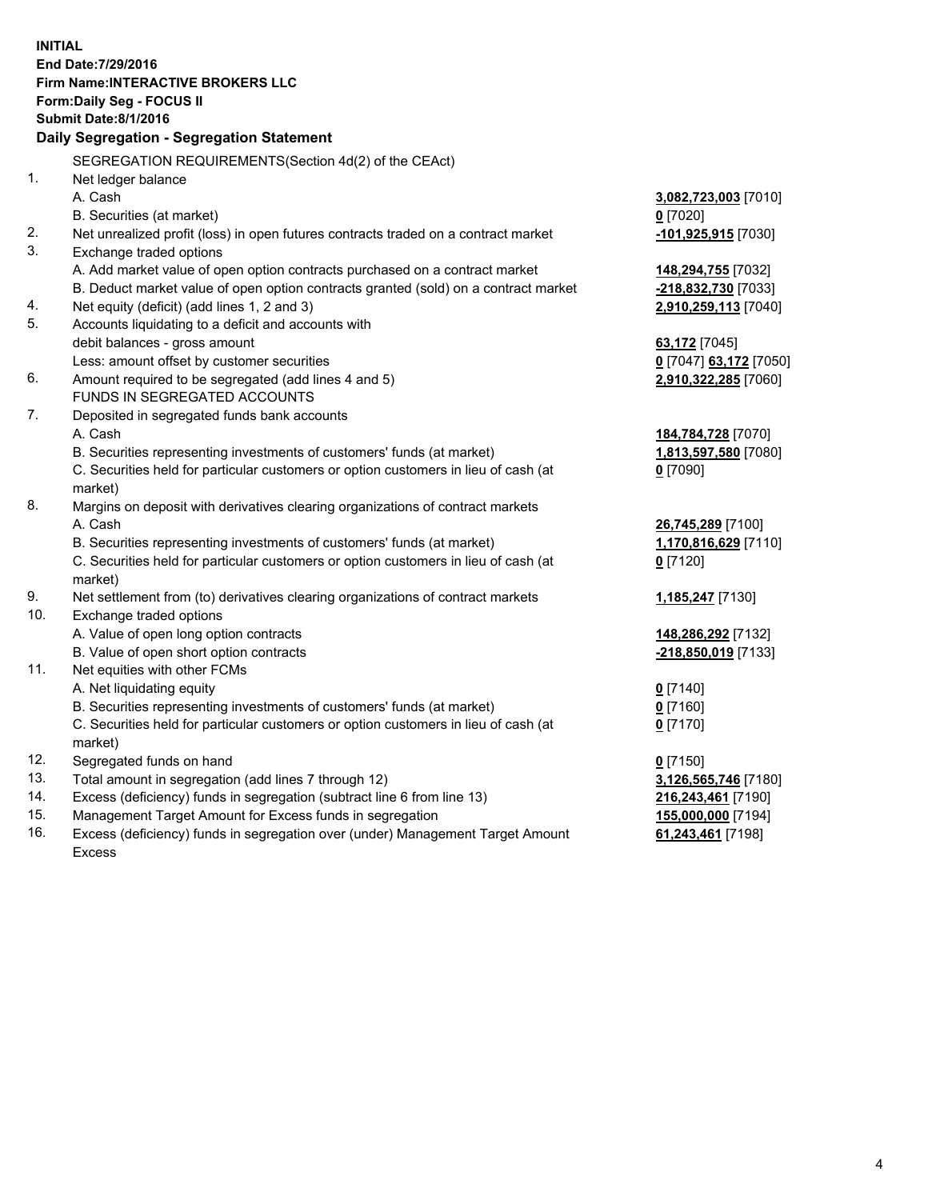**INITIAL End Date:7/29/2016 Firm Name:INTERACTIVE BROKERS LLC Form:Daily Seg - FOCUS II Submit Date:8/1/2016 Daily Segregation - Segregation Statement** SEGREGATION REQUIREMENTS(Section 4d(2) of the CEAct) 1. Net ledger balance A. Cash **3,082,723,003** [7010] B. Securities (at market) **0** [7020] 2. Net unrealized profit (loss) in open futures contracts traded on a contract market **-101,925,915** [7030] 3. Exchange traded options A. Add market value of open option contracts purchased on a contract market **148,294,755** [7032] B. Deduct market value of open option contracts granted (sold) on a contract market **-218,832,730** [7033] 4. Net equity (deficit) (add lines 1, 2 and 3) **2,910,259,113** [7040] 5. Accounts liquidating to a deficit and accounts with debit balances - gross amount **63,172** [7045] Less: amount offset by customer securities **0** [7047] **63,172** [7050] 6. Amount required to be segregated (add lines 4 and 5) **2,910,322,285** [7060] FUNDS IN SEGREGATED ACCOUNTS 7. Deposited in segregated funds bank accounts A. Cash **184,784,728** [7070] B. Securities representing investments of customers' funds (at market) **1,813,597,580** [7080] C. Securities held for particular customers or option customers in lieu of cash (at market) **0** [7090] 8. Margins on deposit with derivatives clearing organizations of contract markets A. Cash **26,745,289** [7100] B. Securities representing investments of customers' funds (at market) **1,170,816,629** [7110] C. Securities held for particular customers or option customers in lieu of cash (at market) **0** [7120] 9. Net settlement from (to) derivatives clearing organizations of contract markets **1,185,247** [7130] 10. Exchange traded options A. Value of open long option contracts **148,286,292** [7132] B. Value of open short option contracts **-218,850,019** [7133] 11. Net equities with other FCMs A. Net liquidating equity **0** [7140] B. Securities representing investments of customers' funds (at market) **0** [7160] C. Securities held for particular customers or option customers in lieu of cash (at market) **0** [7170] 12. Segregated funds on hand **0** [7150] 13. Total amount in segregation (add lines 7 through 12) **3,126,565,746** [7180] 14. Excess (deficiency) funds in segregation (subtract line 6 from line 13) **216,243,461** [7190] 15. Management Target Amount for Excess funds in segregation **155,000,000** [7194] **61,243,461** [7198]

16. Excess (deficiency) funds in segregation over (under) Management Target Amount Excess